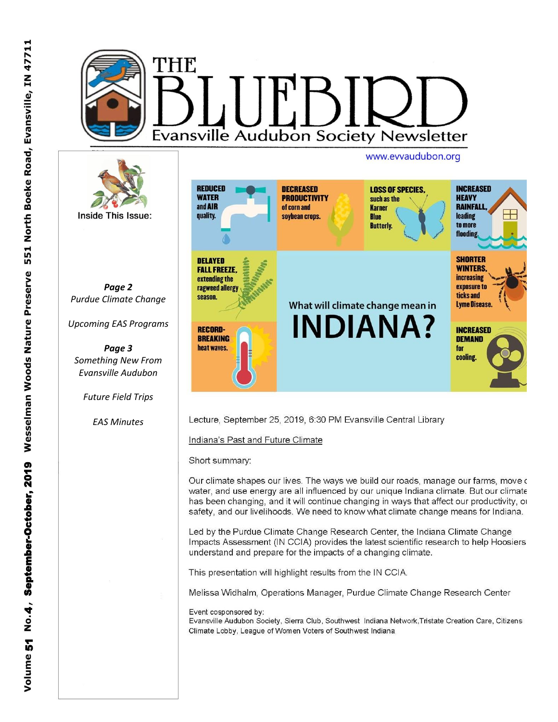

**REDUCED INCREASED DECREASED LOSS OF SPECIES HEAVY WATER PRODUCTIVITY** such as the and AIR **RAINFALI** of corn and **Karner leading** quality. soybean crops **Blue** to more **Butterly** flooding. **SHORTER DELAYED FALL FREEZE, WINTERS increasing** extending the exposure to ragweed allergy ticks and season. Lyme Disease. What will climate change mean in **INDIANA? RECORD-INCREASED BREAKING DEMAND** heat waves. for cooling.

Lecture, September 25, 2019, 6:30 PM Evansville Central Library

Indiana's Past and Future Climate

Short summary:

Our climate shapes our lives. The ways we build our roads, manage our farms, move c water, and use energy are all influenced by our unique Indiana climate. But our climate has been changing, and it will continue changing in ways that affect our productivity, or safety, and our livelihoods. We need to know what climate change means for Indiana.

Led by the Purdue Climate Change Research Center, the Indiana Climate Change Impacts Assessment (IN CCIA) provides the latest scientific research to help Hoosiers understand and prepare for the impacts of a changing climate.

This presentation will highlight results from the IN CCIA.

Melissa Widhalm, Operations Manager, Purdue Climate Change Research Center

Event cosponsored by:

Evansville Audubon Society, Sierra Club, Southwest Indiana Network, Tristate Creation Care, Citizens Climate Lobby, League of Women Voters of Southwest Indiana

**Inside This Issue:** 

Page 2

Purdue Climate Change

**Upcoming EAS Programs** 

Page 3

Something New From **Evansville Audubon** 

**Future Field Trips** 

**EAS Minutes**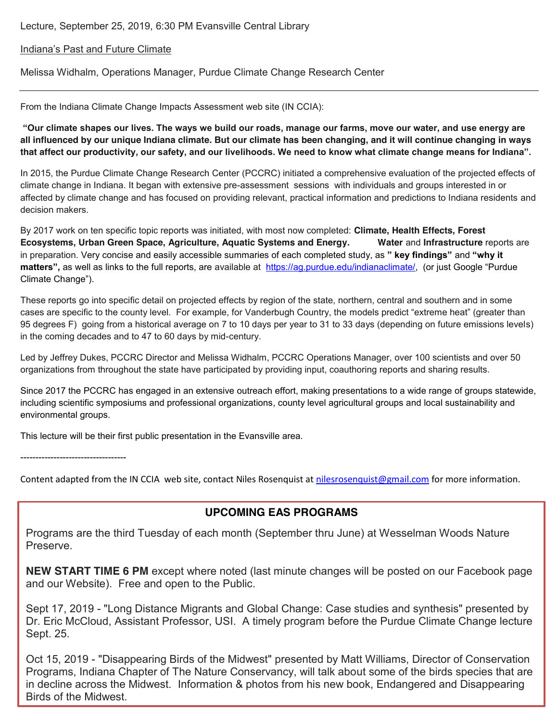Lecture, September 25, 2019, 6:30 PM Evansville Central Library

#### Indiana's Past and Future Climate

Melissa Widhalm, Operations Manager, Purdue Climate Change Research Center

From the Indiana Climate Change Impacts Assessment web site (IN CCIA):

**"Our climate shapes our lives. The ways we build our roads, manage our farms, move our water, and use energy are all influenced by our unique Indiana climate. But our climate has been changing, and it will continue changing in ways that affect our productivity, our safety, and our livelihoods. We need to know what climate change means for Indiana".** 

In 2015, the Purdue Climate Change Research Center (PCCRC) initiated a comprehensive evaluation of the projected effects of climate change in Indiana. It began with extensive pre-assessment sessions with individuals and groups interested in or affected by climate change and has focused on providing relevant, practical information and predictions to Indiana residents and decision makers.

By 2017 work on ten specific topic reports was initiated, with most now completed: **Climate, Health Effects, Forest Ecosystems, Urban Green Space, Agriculture, Aquatic Systems and Energy. Water** and **Infrastructure** reports are in preparation. Very concise and easily accessible summaries of each completed study, as **" key findings"** and **"why it**  matters", as well as links to the full reports, are available at https://ag.purdue.edu/indianaclimate/, (or just Google "Purdue Climate Change").

These reports go into specific detail on projected effects by region of the state, northern, central and southern and in some cases are specific to the county level. For example, for Vanderbugh Country, the models predict "extreme heat" (greater than 95 degrees F) going from a historical average on 7 to 10 days per year to 31 to 33 days (depending on future emissions levels) in the coming decades and to 47 to 60 days by mid-century.

Led by Jeffrey Dukes, PCCRC Director and Melissa Widhalm, PCCRC Operations Manager, over 100 scientists and over 50 organizations from throughout the state have participated by providing input, coauthoring reports and sharing results.

Since 2017 the PCCRC has engaged in an extensive outreach effort, making presentations to a wide range of groups statewide, including scientific symposiums and professional organizations, county level agricultural groups and local sustainability and environmental groups.

This lecture will be their first public presentation in the Evansville area.

-----------------------------------

Content adapted from the IN CCIA web site, contact Niles Rosenquist at nilesrosenquist@gmail.com for more information.

#### **UPCOMING EAS PROGRAMS**

Programs are the third Tuesday of each month (September thru June) at Wesselman Woods Nature Preserve.

**NEW START TIME 6 PM** except where noted (last minute changes will be posted on our Facebook page and our Website). Free and open to the Public.

Sept 17, 2019 - "Long Distance Migrants and Global Change: Case studies and synthesis" presented by Dr. Eric McCloud, Assistant Professor, USI. A timely program before the Purdue Climate Change lecture Sept. 25.

Oct 15, 2019 - "Disappearing Birds of the Midwest" presented by Matt Williams, Director of Conservation Programs, Indiana Chapter of The Nature Conservancy, will talk about some of the birds species that are in decline across the Midwest. Information & photos from his new book, Endangered and Disappearing Birds of the Midwest.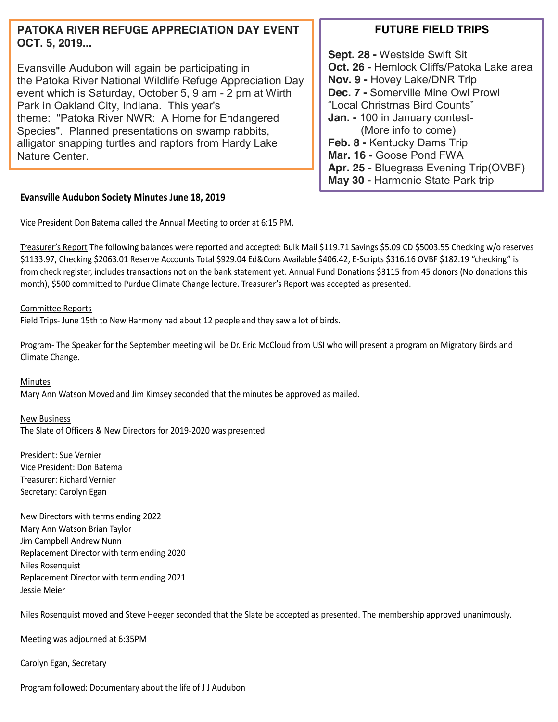## **PATOKA RIVER REFUGE APPRECIATION DAY EVENT OCT. 5, 2019...**

Evansville Audubon will again be participating in the Patoka River National Wildlife Refuge Appreciation Day event which is Saturday, October 5, 9 am - 2 pm at Wirth Park in Oakland City, Indiana. This year's theme: "Patoka River NWR: A Home for Endangered Species". Planned presentations on swamp rabbits, alligator snapping turtles and raptors from Hardy Lake Nature Center.

# **FUTURE FIELD TRIPS**

**Sept. 28 -** Westside Swift Sit **Oct. 26 -** Hemlock Cliffs/Patoka Lake area **Nov. 9 -** Hovey Lake/DNR Trip **Dec. 7 -** Somerville Mine Owl Prowl "Local Christmas Bird Counts" **Jan. -** 100 in January contest- (More info to come) **Feb. 8 -** Kentucky Dams Trip **Mar. 16 -** Goose Pond FWA **Apr. 25 -** Bluegrass Evening Trip(OVBF) **May 30 -** Harmonie State Park trip

## **Evansville Audubon Society Minutes June 18, 2019**

Vice President Don Batema called the Annual Meeting to order at 6:15 PM.

Treasurer's Report The following balances were reported and accepted: Bulk Mail \$119.71 Savings \$5.09 CD \$5003.55 Checking w/o reserves \$1133.97, Checking \$2063.01 Reserve Accounts Total \$929.04 Ed&Cons Available \$406.42, E-Scripts \$316.16 OVBF \$182.19 "checking" is from check register, includes transactions not on the bank statement yet. Annual Fund Donations \$3115 from 45 donors (No donations this month), \$500 committed to Purdue Climate Change lecture. Treasurer's Report was accepted as presented.

Committee Reports

Field Trips- June 15th to New Harmony had about 12 people and they saw a lot of birds.

Program- The Speaker for the September meeting will be Dr. Eric McCloud from USI who will present a program on Migratory Birds and Climate Change.

Minutes

Mary Ann Watson Moved and Jim Kimsey seconded that the minutes be approved as mailed.

New Business

The Slate of Officers & New Directors for 2019-2020 was presented

President: Sue Vernier Vice President: Don Batema Treasurer: Richard Vernier Secretary: Carolyn Egan

New Directors with terms ending 2022 Mary Ann Watson Brian Taylor Jim Campbell Andrew Nunn Replacement Director with term ending 2020 Niles Rosenquist Replacement Director with term ending 2021 Jessie Meier

Niles Rosenquist moved and Steve Heeger seconded that the Slate be accepted as presented. The membership approved unanimously.

Meeting was adjourned at 6:35PM

Carolyn Egan, Secretary

Program followed: Documentary about the life of J J Audubon